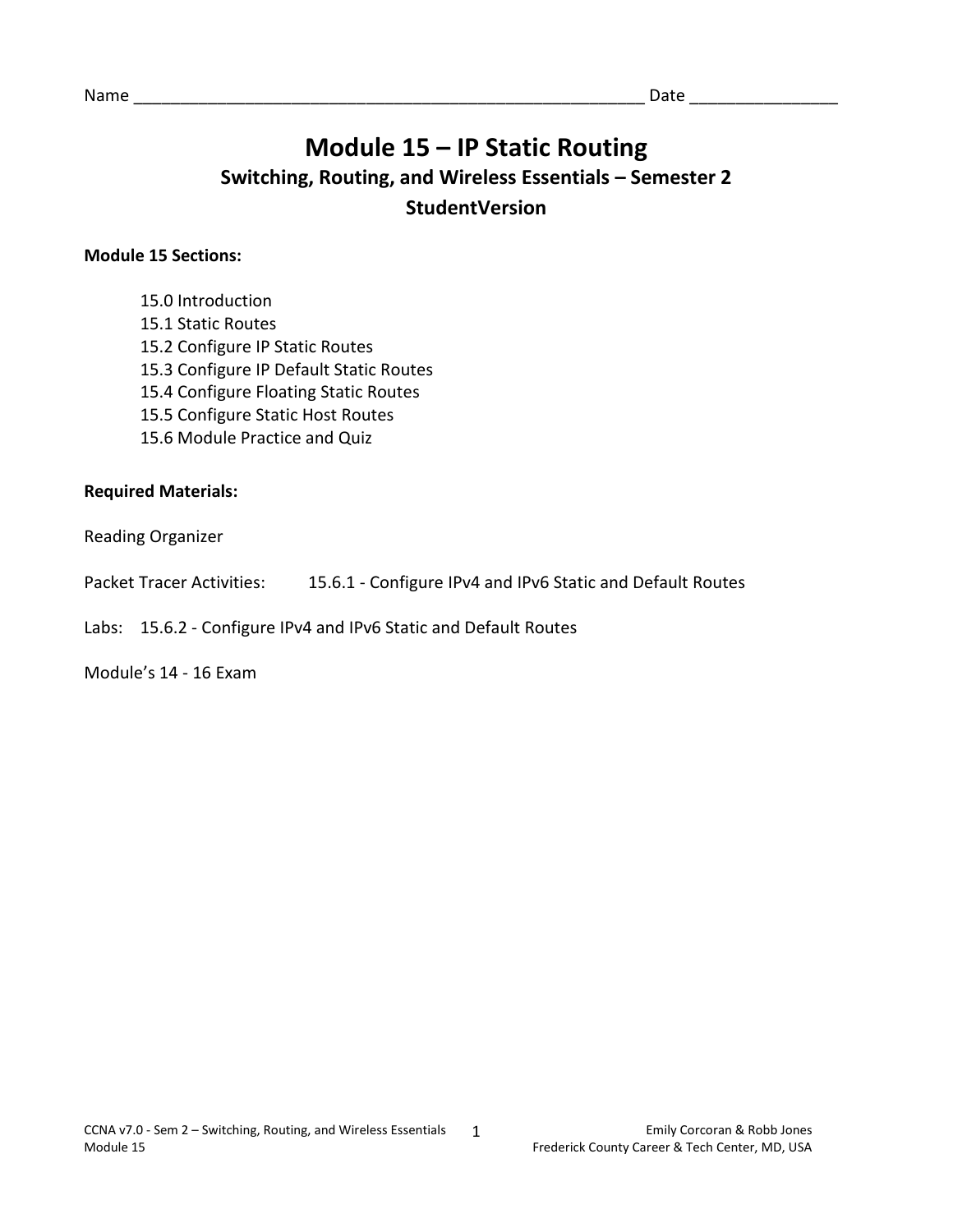# **Module 15 – IP Static Routing Switching, Routing, and Wireless Essentials – Semester 2 StudentVersion**

### **Module 15 Sections:**

- 15.0 Introduction
- 15.1 Static Routes
- 15.2 Configure IP Static Routes
- 15.3 Configure IP Default Static Routes
- 15.4 Configure Floating Static Routes
- 15.5 Configure Static Host Routes
- 15.6 Module Practice and Quiz

#### **Required Materials:**

Reading Organizer

Packet Tracer Activities: 15.6.1 - Configure IPv4 and IPv6 Static and Default Routes

Labs: 15.6.2 - Configure IPv4 and IPv6 Static and Default Routes

#### Module's 14 - 16 Exam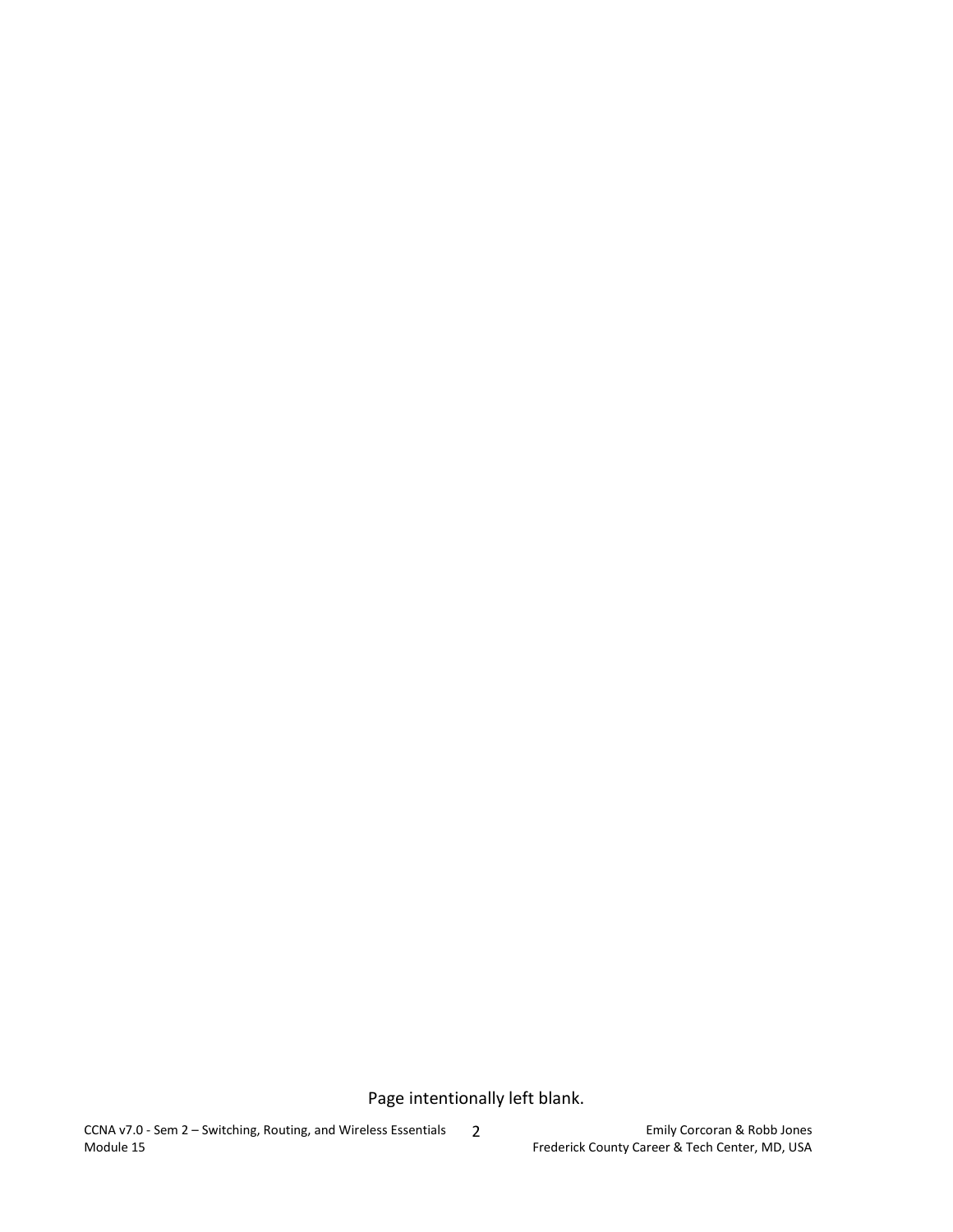Page intentionally left blank.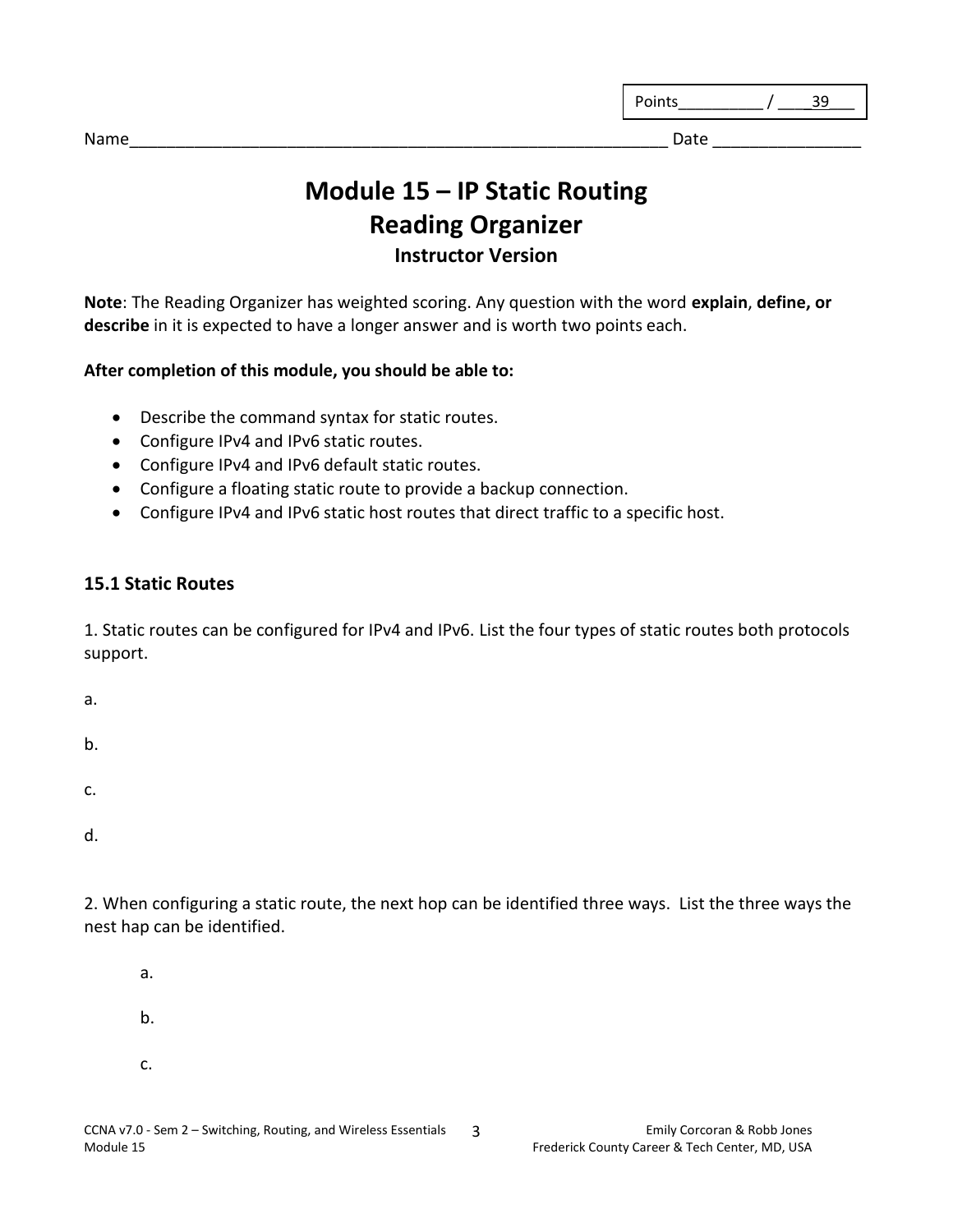| <b>Points</b> |  |
|---------------|--|
|               |  |

# **Module 15 – IP Static Routing Reading Organizer Instructor Version**

**Note**: The Reading Organizer has weighted scoring. Any question with the word **explain**, **define, or describe** in it is expected to have a longer answer and is worth two points each.

## **After completion of this module, you should be able to:**

- Describe the command syntax for static routes.
- Configure IPv4 and IPv6 static routes.
- Configure IPv4 and IPv6 default static routes.
- Configure a floating static route to provide a backup connection.
- Configure IPv4 and IPv6 static host routes that direct traffic to a specific host.

# **15.1 Static Routes**

1. Static routes can be configured for IPv4 and IPv6. List the four types of static routes both protocols support.

a.

b.

c.

d.

2. When configuring a static route, the next hop can be identified three ways. List the three ways the nest hap can be identified.

- a. b.
- c.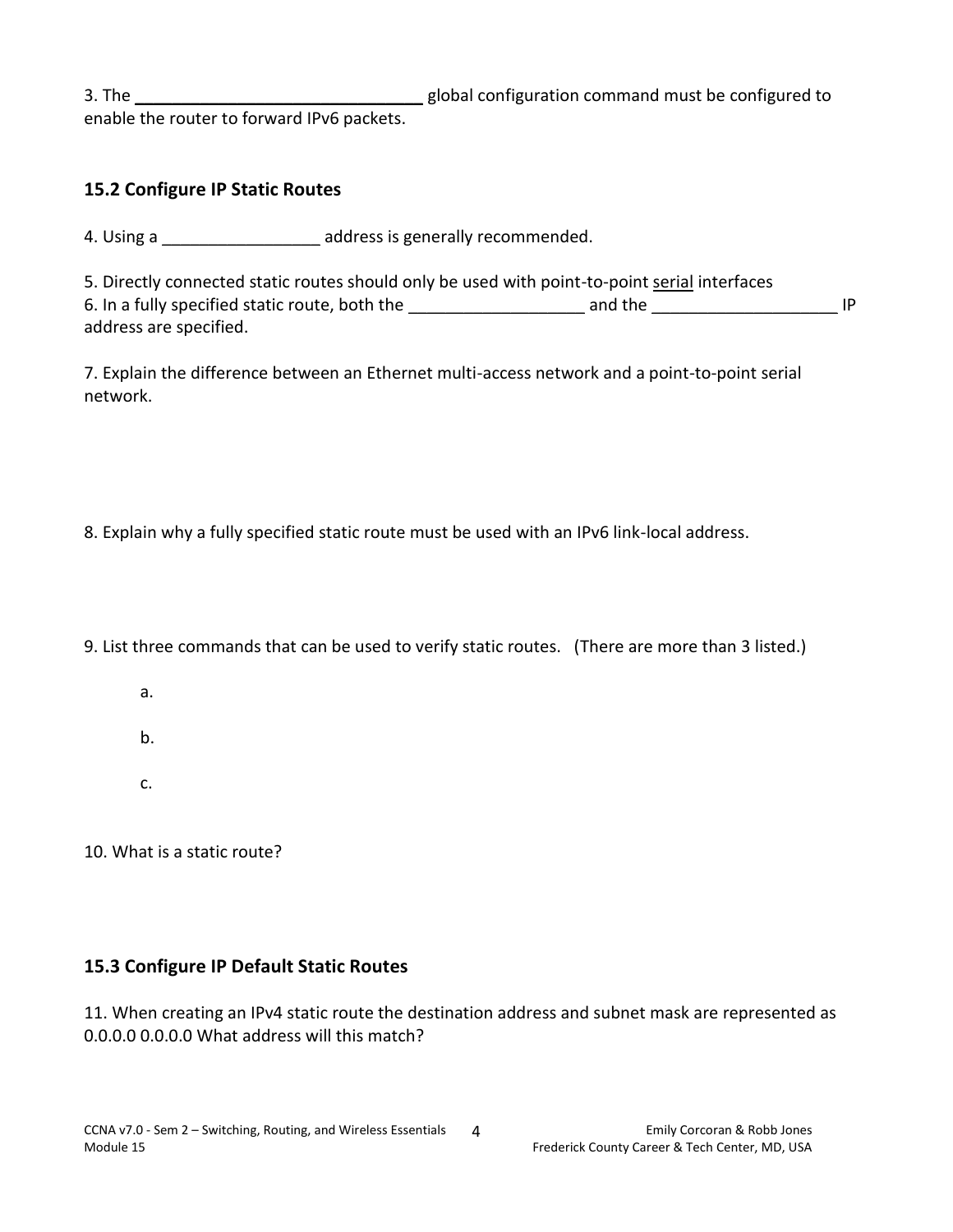3. The **Example 2.1** Section 1 and 5.1 The section of global configuration command must be configured to enable the router to forward IPv6 packets.

## **15.2 Configure IP Static Routes**

4. Using a \_\_\_\_\_\_\_\_\_\_\_\_\_\_\_\_\_\_\_\_\_ address is generally recommended.

5. Directly connected static routes should only be used with point-to-point serial interfaces 6. In a fully specified static route, both the and the and the static route, both the  $IP$ address are specified.

7. Explain the difference between an Ethernet multi-access network and a point-to-point serial network.

8. Explain why a fully specified static route must be used with an IPv6 link-local address.

9. List three commands that can be used to verify static routes. (There are more than 3 listed.)

- a.
- 

b.

c.

10. What is a static route?

## **15.3 Configure IP Default Static Routes**

11. When creating an IPv4 static route the destination address and subnet mask are represented as 0.0.0.0 0.0.0.0 What address will this match?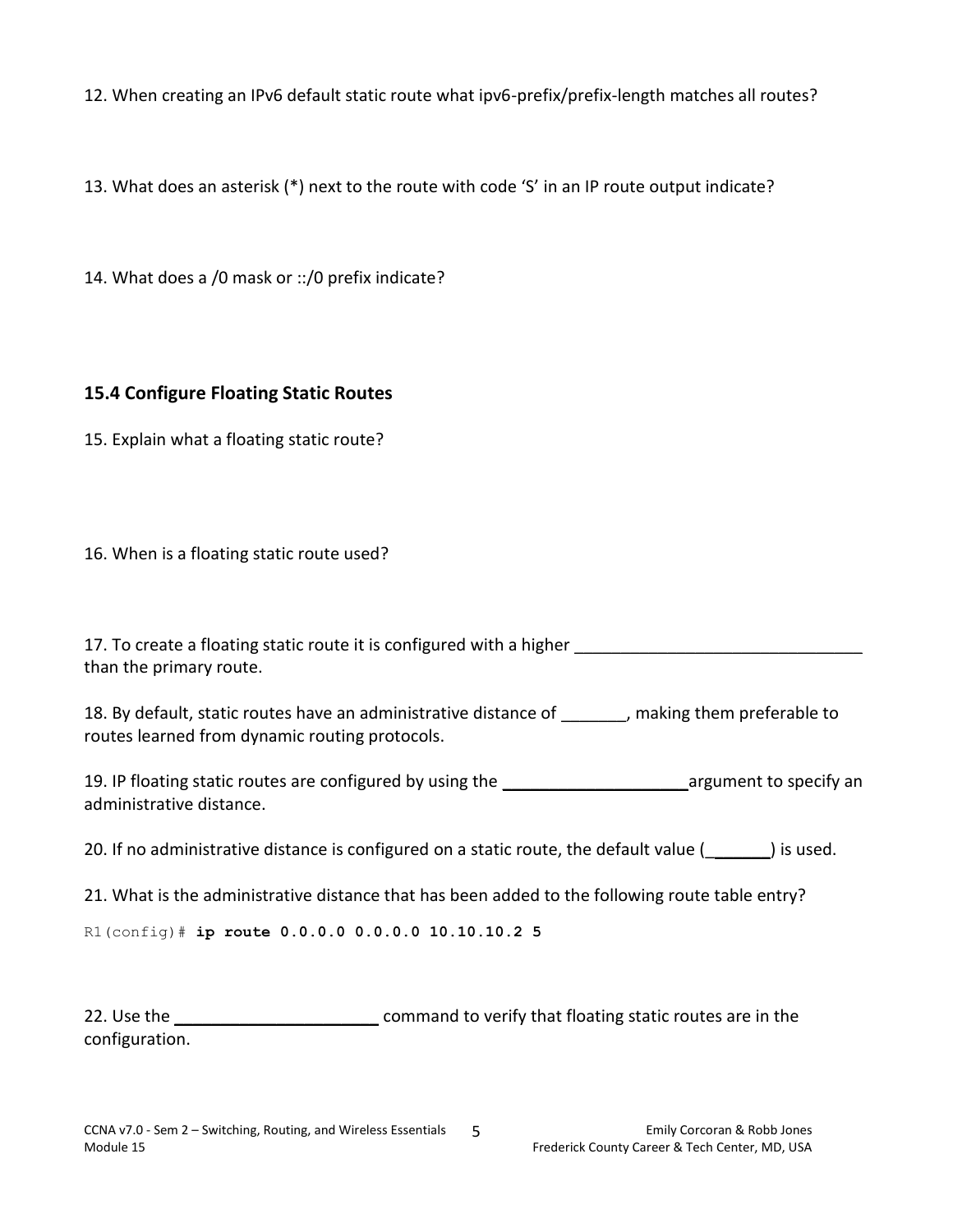12. When creating an IPv6 default static route what ipv6-prefix/prefix-length matches all routes?

13. What does an asterisk (\*) next to the route with code 'S' in an IP route output indicate?

14. What does a /0 mask or ::/0 prefix indicate?

## **15.4 Configure Floating Static Routes**

15. Explain what a floating static route?

16. When is a floating static route used?

17. To create a floating static route it is configured with a higher \_\_\_\_\_\_\_\_\_\_\_\_\_\_\_\_\_\_ than the primary route.

18. By default, static routes have an administrative distance of figures and in making them preferable to routes learned from dynamic routing protocols.

19. IP floating static routes are configured by using the \_\_\_\_\_\_\_\_\_\_\_\_\_\_\_\_\_\_\_\_\_\_\_ argument to specify an administrative distance.

20. If no administrative distance is configured on a static route, the default value (according times) is used.

21. What is the administrative distance that has been added to the following route table entry?

R1(config)# **ip route 0.0.0.0 0.0.0.0 10.10.10.2 5**

22. Use the \_\_\_\_\_\_\_\_\_\_\_\_\_\_\_\_\_\_\_\_\_\_\_\_\_\_\_\_\_\_\_\_ command to verify that floating static routes are in the configuration.